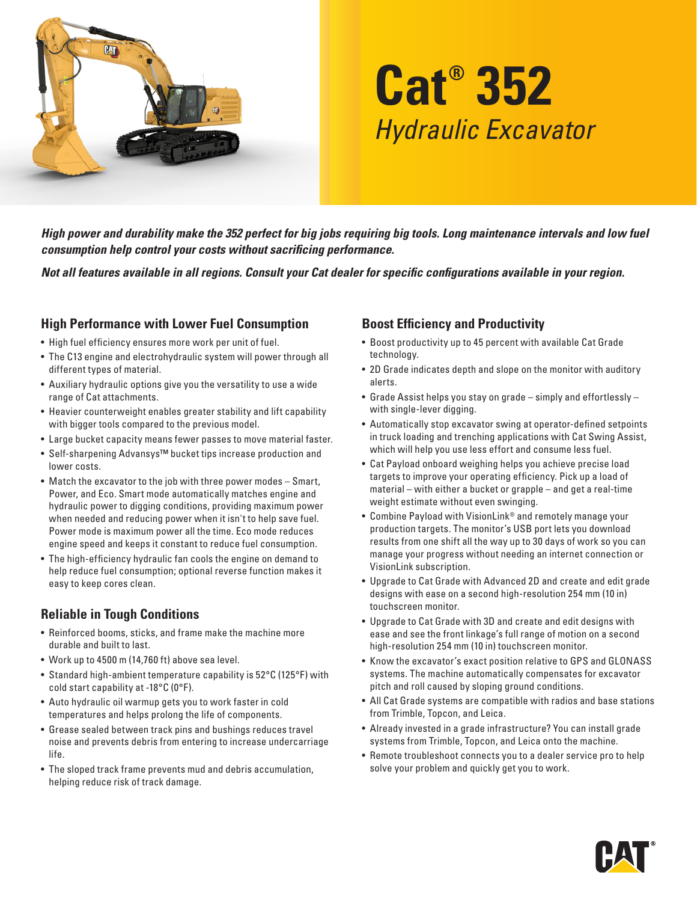

# **Cat® 352** *Hydraulic Excavator*

*High power and durability make the 352 perfect for big jobs requiring big tools. Long maintenance intervals and low fuel consumption help control your costs without sacrificing performance.*

*Not all features available in all regions. Consult your Cat dealer for specific configurations available in your region.* 

#### **High Performance with Lower Fuel Consumption**

- High fuel efficiency ensures more work per unit of fuel.
- The C13 engine and electrohydraulic system will power through all different types of material.
- Auxiliary hydraulic options give you the versatility to use a wide range of Cat attachments.
- Heavier counterweight enables greater stability and lift capability with bigger tools compared to the previous model.
- Large bucket capacity means fewer passes to move material faster.
- Self-sharpening Advansys™ bucket tips increase production and lower costs.
- Match the excavator to the job with three power modes Smart, Power, and Eco. Smart mode automatically matches engine and hydraulic power to digging conditions, providing maximum power when needed and reducing power when it isn't to help save fuel. Power mode is maximum power all the time. Eco mode reduces engine speed and keeps it constant to reduce fuel consumption.
- The high-efficiency hydraulic fan cools the engine on demand to help reduce fuel consumption; optional reverse function makes it easy to keep cores clean.

# **Reliable in Tough Conditions**

- Reinforced booms, sticks, and frame make the machine more durable and built to last.
- Work up to 4500 m (14,760 ft) above sea level.
- Standard high-ambient temperature capability is 52°C (125°F) with cold start capability at -18°C (0°F).
- Auto hydraulic oil warmup gets you to work faster in cold temperatures and helps prolong the life of components.
- Grease sealed between track pins and bushings reduces travel noise and prevents debris from entering to increase undercarriage life.
- The sloped track frame prevents mud and debris accumulation, helping reduce risk of track damage.

#### **Boost Efficiency and Productivity**

- Boost productivity up to 45 percent with available Cat Grade technology.
- 2D Grade indicates depth and slope on the monitor with auditory alerts.
- Grade Assist helps you stay on grade simply and effortlessly with single-lever digging.
- Automatically stop excavator swing at operator-defined setpoints in truck loading and trenching applications with Cat Swing Assist, which will help you use less effort and consume less fuel.
- Cat Payload onboard weighing helps you achieve precise load targets to improve your operating efficiency. Pick up a load of material – with either a bucket or grapple – and get a real-time weight estimate without even swinging.
- Combine Payload with VisionLink® and remotely manage your production targets. The monitor's USB port lets you download results from one shift all the way up to 30 days of work so you can manage your progress without needing an internet connection or VisionLink subscription.
- Upgrade to Cat Grade with Advanced 2D and create and edit grade designs with ease on a second high-resolution 254 mm (10 in) touchscreen monitor.
- Upgrade to Cat Grade with 3D and create and edit designs with ease and see the front linkage's full range of motion on a second high-resolution 254 mm (10 in) touchscreen monitor.
- Know the excavator's exact position relative to GPS and GLONASS systems. The machine automatically compensates for excavator pitch and roll caused by sloping ground conditions.
- All Cat Grade systems are compatible with radios and base stations from Trimble, Topcon, and Leica.
- Already invested in a grade infrastructure? You can install grade systems from Trimble, Topcon, and Leica onto the machine.
- Remote troubleshoot connects you to a dealer service pro to help solve your problem and quickly get you to work.

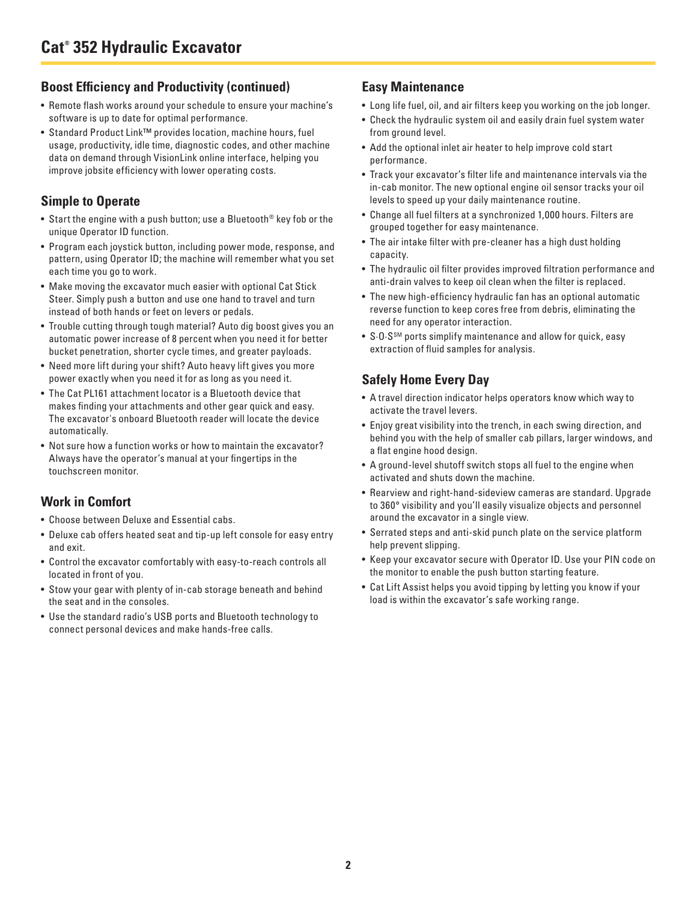#### **Boost Efficiency and Productivity (continued)**

- Remote flash works around your schedule to ensure your machine's software is up to date for optimal performance.
- Standard Product Link™ provides location, machine hours, fuel usage, productivity, idle time, diagnostic codes, and other machine data on demand through VisionLink online interface, helping you improve jobsite efficiency with lower operating costs.

# **Simple to Operate**

- Start the engine with a push button; use a Bluetooth<sup>®</sup> key fob or the unique Operator ID function.
- Program each joystick button, including power mode, response, and pattern, using Operator ID; the machine will remember what you set each time you go to work.
- Make moving the excavator much easier with optional Cat Stick Steer. Simply push a button and use one hand to travel and turn instead of both hands or feet on levers or pedals.
- Trouble cutting through tough material? Auto dig boost gives you an automatic power increase of 8 percent when you need it for better bucket penetration, shorter cycle times, and greater payloads.
- Need more lift during your shift? Auto heavy lift gives you more power exactly when you need it for as long as you need it.
- The Cat PL161 attachment locator is a Bluetooth device that makes finding your attachments and other gear quick and easy. The excavator's onboard Bluetooth reader will locate the device automatically.
- Not sure how a function works or how to maintain the excavator? Always have the operator's manual at your fingertips in the touchscreen monitor.

# **Work in Comfort**

- Choose between Deluxe and Essential cabs.
- Deluxe cab offers heated seat and tip-up left console for easy entry and exit.
- Control the excavator comfortably with easy-to-reach controls all located in front of you.
- Stow your gear with plenty of in-cab storage beneath and behind the seat and in the consoles.
- Use the standard radio's USB ports and Bluetooth technology to connect personal devices and make hands-free calls.

#### **Easy Maintenance**

- Long life fuel, oil, and air filters keep you working on the job longer.
- Check the hydraulic system oil and easily drain fuel system water from ground level.
- Add the optional inlet air heater to help improve cold start performance.
- Track your excavator's filter life and maintenance intervals via the in-cab monitor. The new optional engine oil sensor tracks your oil levels to speed up your daily maintenance routine.
- Change all fuel filters at a synchronized 1,000 hours. Filters are grouped together for easy maintenance.
- The air intake filter with pre-cleaner has a high dust holding capacity.
- The hydraulic oil filter provides improved filtration performance and anti-drain valves to keep oil clean when the filter is replaced.
- The new high-efficiency hydraulic fan has an optional automatic reverse function to keep cores free from debris, eliminating the need for any operator interaction.
- S∙O∙SSM ports simplify maintenance and allow for quick, easy extraction of fluid samples for analysis.

# **Safely Home Every Day**

- A travel direction indicator helps operators know which way to activate the travel levers.
- Enjoy great visibility into the trench, in each swing direction, and behind you with the help of smaller cab pillars, larger windows, and a flat engine hood design.
- A ground-level shutoff switch stops all fuel to the engine when activated and shuts down the machine.
- Rearview and right-hand-sideview cameras are standard. Upgrade to 360° visibility and you'll easily visualize objects and personnel around the excavator in a single view.
- Serrated steps and anti-skid punch plate on the service platform help prevent slipping.
- Keep your excavator secure with Operator ID. Use your PIN code on the monitor to enable the push button starting feature.
- Cat Lift Assist helps you avoid tipping by letting you know if your load is within the excavator's safe working range.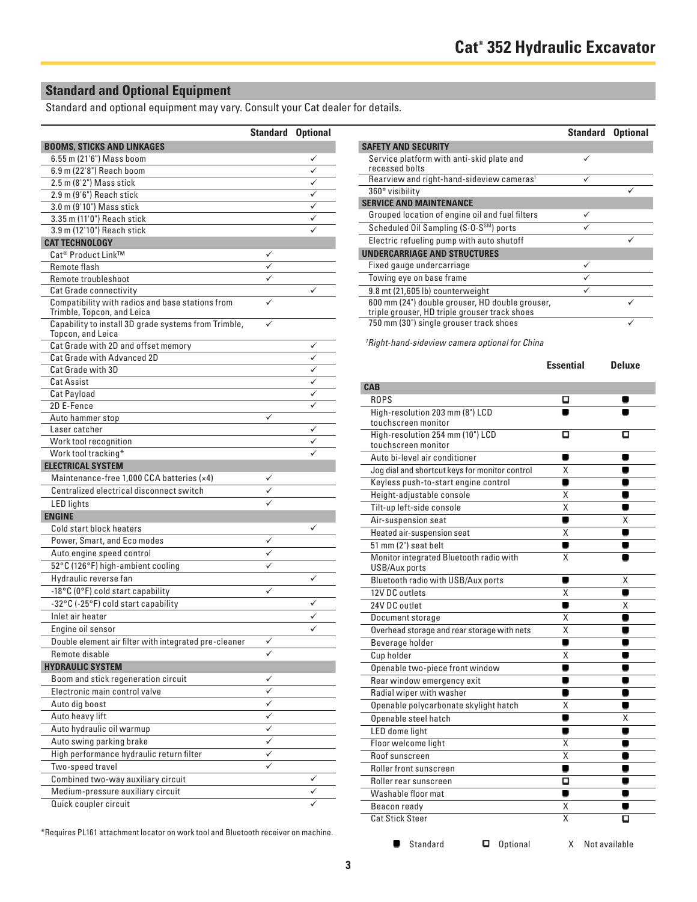# **Standard and Optional Equipment**

Standard and optional equipment may vary. Consult your Cat dealer for details.

|                                                                                | <b>Standard Optional</b> |   |
|--------------------------------------------------------------------------------|--------------------------|---|
| <b>BOOMS, STICKS AND LINKAGES</b>                                              |                          |   |
| 6.55 m (21'6") Mass boom                                                       |                          |   |
| 6.9 m (22'8") Reach boom                                                       |                          |   |
| 2.5 m (8'2") Mass stick                                                        |                          |   |
| 2.9 m (9'6") Reach stick                                                       |                          |   |
| 3.0 m (9'10") Mass stick                                                       |                          |   |
| 3.35 m (11'0") Reach stick                                                     |                          |   |
| 3.9 m (12'10") Reach stick                                                     |                          |   |
| <b>CAT TECHNOLOGY</b>                                                          |                          |   |
| Cat <sup>®</sup> Product Link™                                                 |                          |   |
| Remote flash                                                                   |                          |   |
| Remote troubleshoot                                                            |                          |   |
| <b>Cat Grade connectivity</b>                                                  |                          | ✓ |
| Compatibility with radios and base stations from<br>Trimble, Topcon, and Leica |                          |   |
| Capability to install 3D grade systems from Trimble,<br>Topcon, and Leica      | ✓                        |   |
| Cat Grade with 2D and offset memory                                            |                          |   |
| Cat Grade with Advanced 2D                                                     |                          | ✓ |
| Cat Grade with 3D                                                              |                          | ✓ |
| <b>Cat Assist</b>                                                              |                          |   |
| <b>Cat Payload</b>                                                             |                          | ✓ |
| 2D E-Fence                                                                     |                          |   |
| Auto hammer stop                                                               | ✓                        |   |
| Laser catcher                                                                  |                          | ✓ |
| Work tool recognition                                                          |                          |   |
| Work tool tracking*                                                            |                          |   |
| <b>ELECTRICAL SYSTEM</b>                                                       |                          |   |
| Maintenance-free 1,000 CCA batteries (x4)                                      |                          |   |
| Centralized electrical disconnect switch                                       |                          |   |
| <b>LED</b> lights                                                              |                          |   |
| <b>ENGINE</b>                                                                  |                          |   |
| Cold start block heaters                                                       |                          |   |
| Power, Smart, and Eco modes                                                    | ✓                        |   |
| Auto engine speed control                                                      |                          |   |
| 52°C (126°F) high-ambient cooling                                              |                          |   |
| Hydraulic reverse fan                                                          |                          | ✓ |
| -18°C (0°F) cold start capability                                              | ✓                        |   |
| -32°C (-25°F) cold start capability                                            |                          |   |
| Inlet air heater                                                               |                          |   |
| Engine oil sensor                                                              |                          |   |
| Double element air filter with integrated pre-cleaner                          |                          |   |
| Remote disable                                                                 |                          |   |
| <b>HYDRAULIC SYSTEM</b>                                                        |                          |   |
| Boom and stick regeneration circuit                                            |                          |   |
| Electronic main control valve                                                  | ✓                        |   |
| Auto dig boost                                                                 |                          |   |
| Auto heavy lift                                                                |                          |   |
| Auto hydraulic oil warmup                                                      | ✓                        |   |
|                                                                                |                          |   |
| Auto swing parking brake                                                       |                          |   |
| High performance hydraulic return filter                                       | ✓                        |   |
| Two-speed travel                                                               | ✓                        |   |
| Combined two-way auxiliary circuit                                             |                          | ✓ |
| Medium-pressure auxiliary circuit                                              |                          |   |
| Quick coupler circuit                                                          |                          |   |

| <b>Standard Optional</b> |                                                                                                  | <b>Standard</b> | <b>Optional</b> |
|--------------------------|--------------------------------------------------------------------------------------------------|-----------------|-----------------|
|                          | <b>SAFETY AND SECURITY</b>                                                                       |                 |                 |
|                          | Service platform with anti-skid plate and<br>recessed bolts                                      | ✓               |                 |
|                          | Rearview and right-hand-sideview cameras <sup>1</sup>                                            |                 |                 |
|                          | 360° visibility                                                                                  |                 |                 |
|                          | <b>SERVICE AND MAINTENANCE</b>                                                                   |                 |                 |
|                          | Grouped location of engine oil and fuel filters                                                  | ✓               |                 |
|                          | Scheduled Oil Sampling (S.O.S <sup>SM</sup> ) ports                                              |                 |                 |
|                          | Electric refueling pump with auto shutoff                                                        |                 |                 |
|                          | <b>UNDERCARRIAGE AND STRUCTURES</b>                                                              |                 |                 |
|                          | Fixed gauge undercarriage                                                                        | ✓               |                 |
|                          | Towing eye on base frame                                                                         |                 |                 |
|                          | 9.8 mt (21,605 lb) counterweight                                                                 | ✓               |                 |
|                          | 600 mm (24") double grouser, HD double grouser,<br>triple grouser, HD triple grouser track shoes |                 |                 |
|                          | 750 mm (30") single grouser track shoes                                                          |                 |                 |

*1 Right-hand-sideview camera optional for China*

|                                                          | <b>Essential</b> | <b>Deluxe</b> |
|----------------------------------------------------------|------------------|---------------|
| <b>CAB</b>                                               |                  |               |
| <b>ROPS</b>                                              | О                |               |
| High-resolution 203 mm (8") LCD                          |                  |               |
| touchscreen monitor                                      |                  |               |
| High-resolution 254 mm (10") LCD                         | О                | о             |
| touchscreen monitor                                      |                  |               |
| Auto bi-level air conditioner                            | ۰                | ۰             |
| Jog dial and shortcut keys for monitor control           | X                |               |
| Keyless push-to-start engine control                     | ۸                |               |
| Height-adjustable console                                | X                |               |
| Tilt-up left-side console                                | X                |               |
| Air-suspension seat                                      | ۸                | X             |
| Heated air-suspension seat                               | X                |               |
| 51 mm (2") seat belt                                     | ٠                |               |
| Monitor integrated Bluetooth radio with<br>USB/Aux ports | x                |               |
| Bluetooth radio with USB/Aux ports                       |                  | Χ             |
| 12V DC outlets                                           | X                |               |
| 24V DC outlet                                            |                  | Χ             |
| Document storage                                         | Χ                |               |
| Overhead storage and rear storage with nets              | Χ                |               |
| Beverage holder                                          | ٠                |               |
| Cup holder                                               | Χ                |               |
| Openable two-piece front window                          | ٠                |               |
| Rear window emergency exit                               | ۰                |               |
| Radial wiper with washer                                 | ۰                |               |
| Openable polycarbonate skylight hatch                    | X                | ш             |
| Openable steel hatch                                     | ۰                | X             |
| LED dome light                                           | ۰                |               |
| Floor welcome light                                      | X                | ٠             |
| Roof sunscreen                                           | Χ                | œ             |
| Roller front sunscreen                                   | ۸                | œ             |
| Roller rear sunscreen                                    | О                | ۰             |
| Washable floor mat                                       | ۸                |               |
| Beacon ready                                             | Χ                |               |
| <b>Cat Stick Steer</b>                                   | Χ                | О             |

\*Requires PL161 attachment locator on work tool and Bluetooth receiver on machine.

■ Standard ■ Optional X Not available